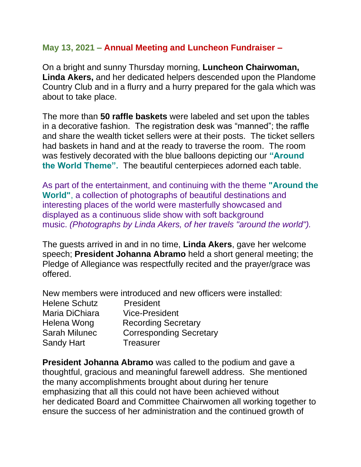## **May 13, 2021 – Annual Meeting and Luncheon Fundraiser –**

On a bright and sunny Thursday morning, **Luncheon Chairwoman, Linda Akers,** and her dedicated helpers descended upon the Plandome Country Club and in a flurry and a hurry prepared for the gala which was about to take place.

The more than **50 raffle baskets** were labeled and set upon the tables in a decorative fashion. The registration desk was "manned"; the raffle and share the wealth ticket sellers were at their posts. The ticket sellers had baskets in hand and at the ready to traverse the room. The room was festively decorated with the blue balloons depicting our **"Around the World Theme".** The beautiful centerpieces adorned each table.

As part of the entertainment, and continuing with the theme **"Around the World"**, a collection of photographs of beautiful destinations and interesting places of the world were masterfully showcased and displayed as a continuous slide show with soft background music. *(Photographs by Linda Akers, of her travels "around the world").*

The guests arrived in and in no time, **Linda Akers**, gave her welcome speech; **President Johanna Abramo** held a short general meeting; the Pledge of Allegiance was respectfully recited and the prayer/grace was offered.

New members were introduced and new officers were installed:

| <b>Helene Schutz</b> | President                      |
|----------------------|--------------------------------|
| Maria DiChiara       | <b>Vice-President</b>          |
| Helena Wong          | <b>Recording Secretary</b>     |
| <b>Sarah Milunec</b> | <b>Corresponding Secretary</b> |
| <b>Sandy Hart</b>    | <b>Treasurer</b>               |

**President Johanna Abramo** was called to the podium and gave a thoughtful, gracious and meaningful farewell address. She mentioned the many accomplishments brought about during her tenure emphasizing that all this could not have been achieved without her dedicated Board and Committee Chairwomen all working together to ensure the success of her administration and the continued growth of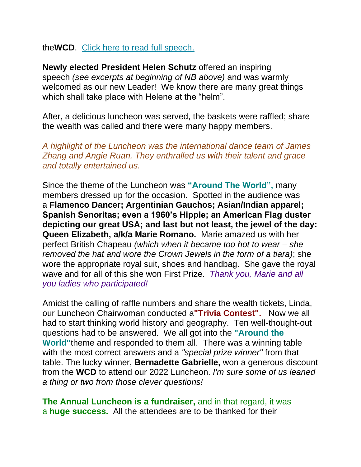## the**WCD**. [Click here to read full speech.](https://mcusercontent.com/de339b8c876382804c83fd59d/files/f1ffe409-b2fb-1495-1aeb-ff9e63943bc0/WCD_Johanna_President_Final_After_Farewell_May_2021.pdf)

**Newly elected President Helen Schutz** offered an inspiring speech *(see excerpts at beginning of NB above)* and was warmly welcomed as our new Leader! We know there are many great things which shall take place with Helene at the "helm".

After, a delicious luncheon was served, the baskets were raffled; share the wealth was called and there were many happy members.

*A highlight of the Luncheon was the international dance team of James Zhang and Angie Ruan. They enthralled us with their talent and grace and totally entertained us.*

Since the theme of the Luncheon was **"Around The World",** many members dressed up for the occasion. Spotted in the audience was a **Flamenco Dancer; Argentinian Gauchos; Asian/Indian apparel; Spanish Senoritas; even a 1960's Hippie; an American Flag duster depicting our great USA; and last but not least, the jewel of the day: Queen Elizabeth, a/k/a Marie Romano.** Marie amazed us with her perfect British Chapeau *(which when it became too hot to wear – she removed the hat and wore the Crown Jewels in the form of a tiara)*; she wore the appropriate royal suit, shoes and handbag. She gave the royal wave and for all of this she won First Prize. *Thank you, Marie and all you ladies who participated!*

Amidst the calling of raffle numbers and share the wealth tickets, Linda, our Luncheon Chairwoman conducted a**"Trivia Contest".** Now we all had to start thinking world history and geography. Ten well-thought-out questions had to be answered. We all got into the **"Around the World"**theme and responded to them all. There was a winning table with the most correct answers and a *"special prize winner"* from that table. The lucky winner, **Bernadette Gabrielle,** won a generous discount from the **WCD** to attend our 2022 Luncheon. *I'm sure some of us leaned a thing or two from those clever questions!*

**The Annual Luncheon is a fundraiser,** and in that regard, it was a **huge success.** All the attendees are to be thanked for their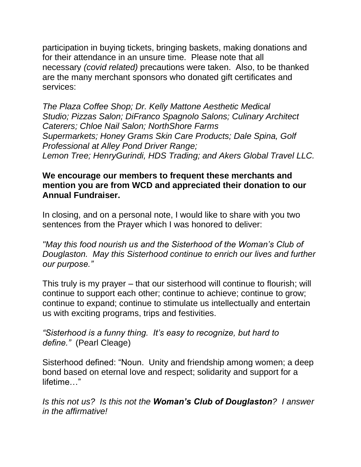participation in buying tickets, bringing baskets, making donations and for their attendance in an unsure time. Please note that all necessary *(covid related)* precautions were taken. Also, to be thanked are the many merchant sponsors who donated gift certificates and services:

*The Plaza Coffee Shop; Dr. Kelly Mattone Aesthetic Medical Studio; Pizzas Salon; DiFranco Spagnolo Salons; Culinary Architect Caterers; Chloe Nail Salon; NorthShore Farms Supermarkets; Honey Grams Skin Care Products; Dale Spina, Golf Professional at Alley Pond Driver Range; Lemon Tree; HenryGurindi, HDS Trading; and Akers Global Travel LLC.*

## **We encourage our members to frequent these merchants and mention you are from WCD and appreciated their donation to our Annual Fundraiser.**

In closing, and on a personal note, I would like to share with you two sentences from the Prayer which I was honored to deliver:

*"May this food nourish us and the Sisterhood of the Woman's Club of Douglaston. May this Sisterhood continue to enrich our lives and further our purpose."* 

This truly is my prayer – that our sisterhood will continue to flourish; will continue to support each other; continue to achieve; continue to grow; continue to expand; continue to stimulate us intellectually and entertain us with exciting programs, trips and festivities.

*"Sisterhood is a funny thing. It's easy to recognize, but hard to define."* (Pearl Cleage)

Sisterhood defined: "Noun. Unity and friendship among women; a deep bond based on eternal love and respect; solidarity and support for a lifetime…"

*Is this not us? Is this not the Woman's Club of Douglaston? I answer in the affirmative!*